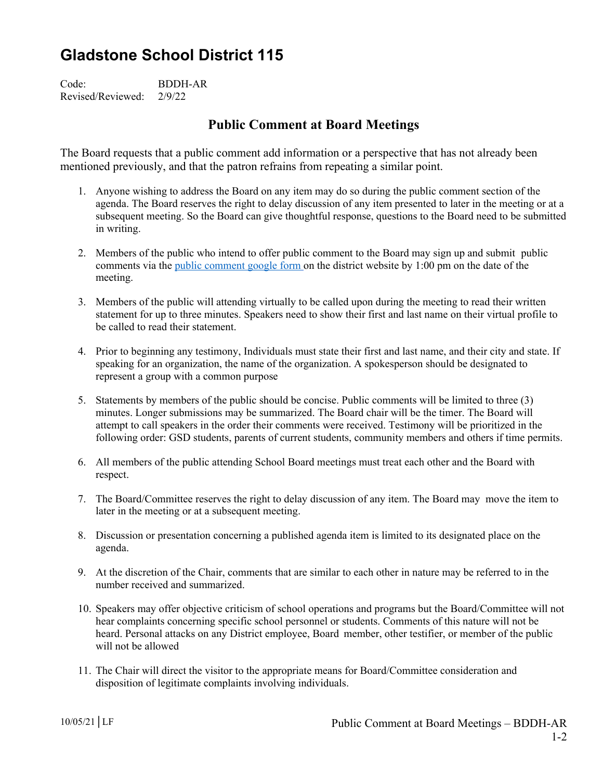## **Gladstone School District 115**

Code: BDDH-AR Revised/Reviewed: 2/9/22

## **Public Comment at Board Meetings**

The Board requests that a public comment add information or a perspective that has not already been mentioned previously, and that the patron refrains from repeating a similar point.

- 1. Anyone wishing to address the Board on any item may do so during the public comment section of the agenda. The Board reserves the right to delay discussion of any item presented to later in the meeting or at a subsequent meeting. So the Board can give thoughtful response, questions to the Board need to be submitted in writing.
- 2. Members of the public who intend to offer public comment to the Board may sign up and submit public comments via the public comment google form on the district website by 1:00 pm on the date of the meeting.
- 3. Members of the public will attending virtually to be called upon during the meeting to read their written statement for up to three minutes. Speakers need to show their first and last name on their virtual profile to be called to read their statement.
- 4. Prior to beginning any testimony, Individuals must state their first and last name, and their city and state. If speaking for an organization, the name of the organization. A spokesperson should be designated to represent a group with a common purpose
- 5. Statements by members of the public should be concise. Public comments will be limited to three (3) minutes. Longer submissions may be summarized. The Board chair will be the timer. The Board will attempt to call speakers in the order their comments were received. Testimony will be prioritized in the following order: GSD students, parents of current students, community members and others if time permits.
- 6. All members of the public attending School Board meetings must treat each other and the Board with respect.
- 7. The Board/Committee reserves the right to delay discussion of any item. The Board may move the item to later in the meeting or at a subsequent meeting.
- 8. Discussion or presentation concerning a published agenda item is limited to its designated place on the agenda.
- 9. At the discretion of the Chair, comments that are similar to each other in nature may be referred to in the number received and summarized.
- 10. Speakers may offer objective criticism of school operations and programs but the Board/Committee will not hear complaints concerning specific school personnel or students. Comments of this nature will not be heard. Personal attacks on any District employee, Board member, other testifier, or member of the public will not be allowed
- 11. The Chair will direct the visitor to the appropriate means for Board/Committee consideration and disposition of legitimate complaints involving individuals.